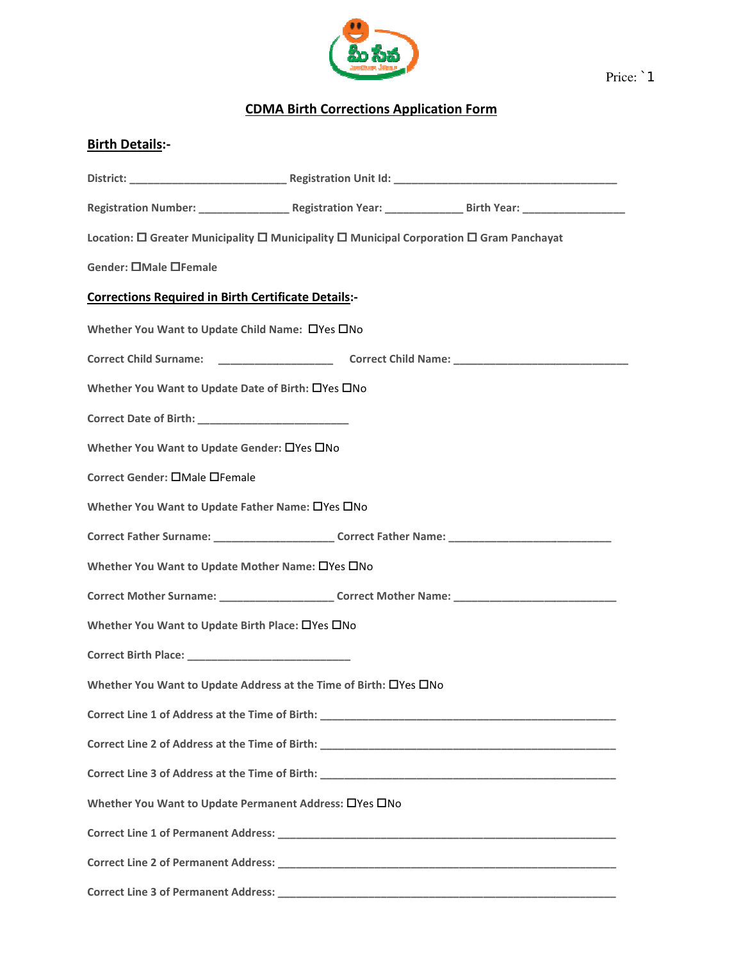

Price: `1

## CDMA Birth Corrections Application Form

| <b>Birth Details:-</b>                                                                                         |  |
|----------------------------------------------------------------------------------------------------------------|--|
|                                                                                                                |  |
| Registration Number: _________________________Registration Year: ________________Birth Year: _________________ |  |
| Location: $\Box$ Greater Municipality $\Box$ Municipality $\Box$ Municipal Corporation $\Box$ Gram Panchayat   |  |
| Gender: OMale OFemale                                                                                          |  |
| <b>Corrections Required in Birth Certificate Details:-</b>                                                     |  |
| Whether You Want to Update Child Name: ONes ONo                                                                |  |
|                                                                                                                |  |
| Whether You Want to Update Date of Birth: □Yes □No                                                             |  |
|                                                                                                                |  |
| Whether You Want to Update Gender: □ Yes □ No                                                                  |  |
| Correct Gender: □Male □Female                                                                                  |  |
| Whether You Want to Update Father Name: □Yes □No                                                               |  |
| Correct Father Surname: _________________________Correct Father Name: _____________________________            |  |
| Whether You Want to Update Mother Name: □Yes □No                                                               |  |
| Correct Mother Surname: _______________________Correct Mother Name: _______________________________            |  |
| Whether You Want to Update Birth Place: □Yes □No                                                               |  |
|                                                                                                                |  |
| Whether You Want to Update Address at the Time of Birth: □Yes □No                                              |  |
|                                                                                                                |  |
|                                                                                                                |  |
|                                                                                                                |  |
| Whether You Want to Update Permanent Address: OYes ONo                                                         |  |
|                                                                                                                |  |
|                                                                                                                |  |
|                                                                                                                |  |